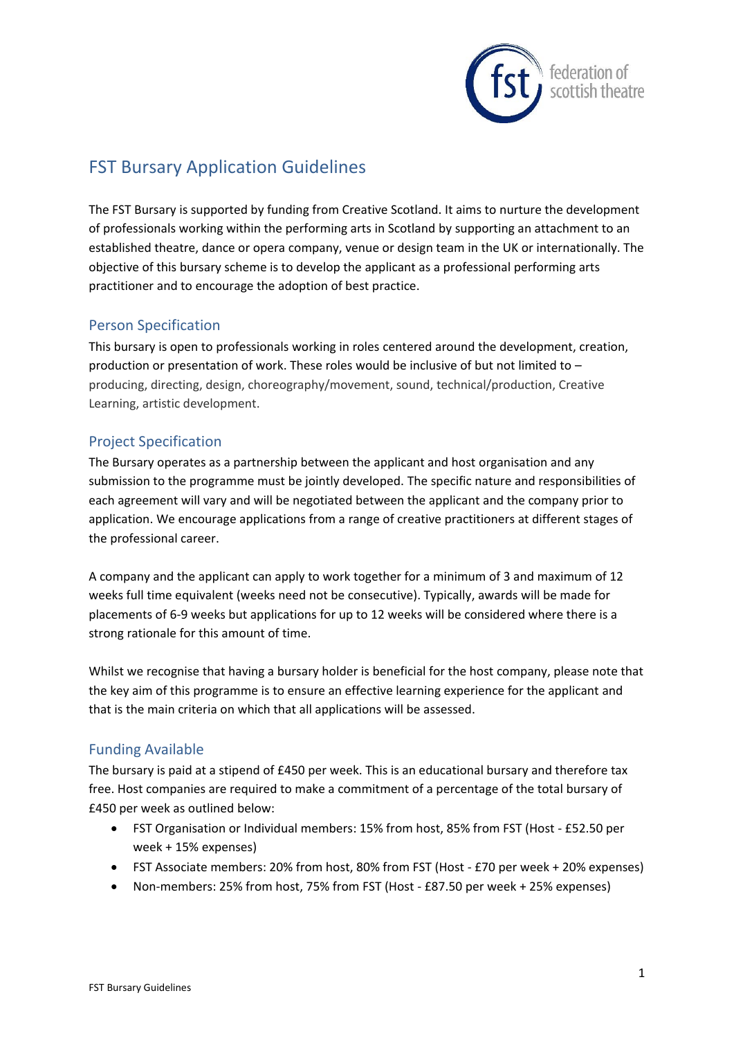

# FST Bursary Application Guidelines

The FST Bursary is supported by funding from Creative Scotland. It aims to nurture the development of professionals working within the performing arts in Scotland by supporting an attachment to an established theatre, dance or opera company, venue or design team in the UK or internationally. The objective of this bursary scheme is to develop the applicant as a professional performing arts practitioner and to encourage the adoption of best practice.

### Person Specification

This bursary is open to professionals working in roles centered around the development, creation, production or presentation of work. These roles would be inclusive of but not limited to – producing, directing, design, choreography/movement, sound, technical/production, Creative Learning, artistic development.

### Project Specification

The Bursary operates as a partnership between the applicant and host organisation and any submission to the programme must be jointly developed. The specific nature and responsibilities of each agreement will vary and will be negotiated between the applicant and the company prior to application. We encourage applications from a range of creative practitioners at different stages of the professional career.

A company and the applicant can apply to work together for a minimum of 3 and maximum of 12 weeks full time equivalent (weeks need not be consecutive). Typically, awards will be made for placements of 6-9 weeks but applications for up to 12 weeks will be considered where there is a strong rationale for this amount of time.

Whilst we recognise that having a bursary holder is beneficial for the host company, please note that the key aim of this programme is to ensure an effective learning experience for the applicant and that is the main criteria on which that all applications will be assessed.

#### Funding Available

The bursary is paid at a stipend of £450 per week. This is an educational bursary and therefore tax free. Host companies are required to make a commitment of a percentage of the total bursary of £450 per week as outlined below:

- FST Organisation or Individual members: 15% from host, 85% from FST (Host £52.50 per week + 15% expenses)
- FST Associate members: 20% from host, 80% from FST (Host £70 per week + 20% expenses)
- Non-members: 25% from host, 75% from FST (Host £87.50 per week + 25% expenses)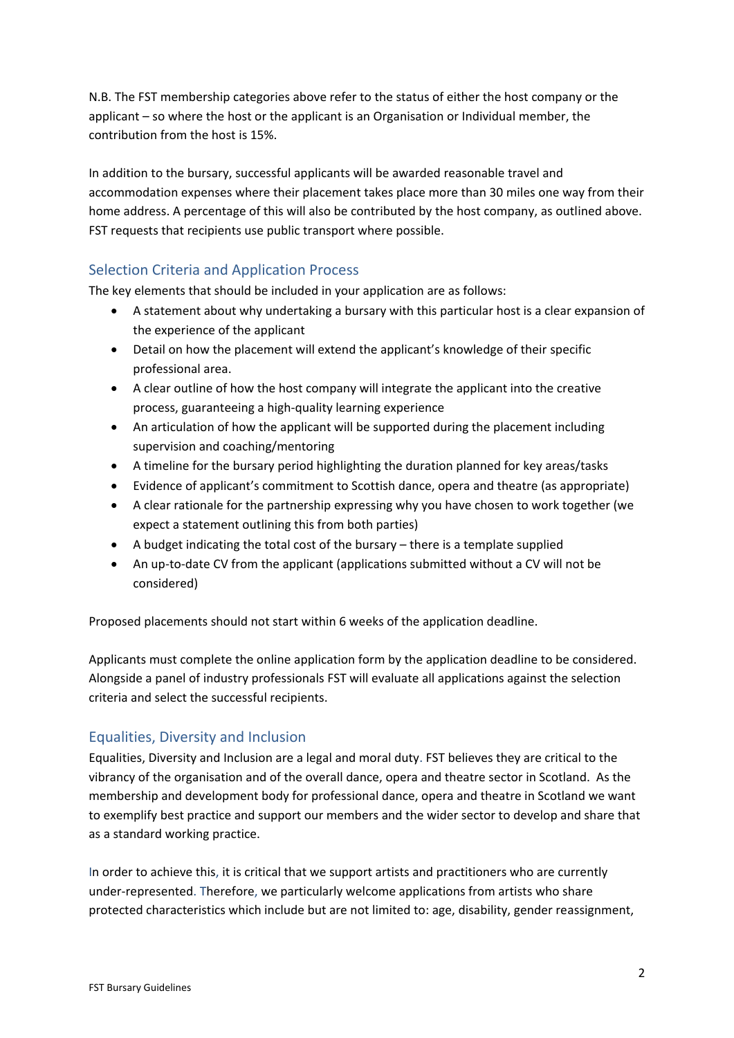N.B. The FST membership categories above refer to the status of either the host company or the applicant – so where the host or the applicant is an Organisation or Individual member, the contribution from the host is 15%.

In addition to the bursary, successful applicants will be awarded reasonable travel and accommodation expenses where their placement takes place more than 30 miles one way from their home address. A percentage of this will also be contributed by the host company, as outlined above. FST requests that recipients use public transport where possible.

# Selection Criteria and Application Process

The key elements that should be included in your application are as follows:

- A statement about why undertaking a bursary with this particular host is a clear expansion of the experience of the applicant
- Detail on how the placement will extend the applicant's knowledge of their specific professional area.
- A clear outline of how the host company will integrate the applicant into the creative process, guaranteeing a high-quality learning experience
- An articulation of how the applicant will be supported during the placement including supervision and coaching/mentoring
- A timeline for the bursary period highlighting the duration planned for key areas/tasks
- Evidence of applicant's commitment to Scottish dance, opera and theatre (as appropriate)
- A clear rationale for the partnership expressing why you have chosen to work together (we expect a statement outlining this from both parties)
- A budget indicating the total cost of the bursary there is a template supplied
- An up-to-date CV from the applicant (applications submitted without a CV will not be considered)

Proposed placements should not start within 6 weeks of the application deadline.

Applicants must complete the online application form by the application deadline to be considered. Alongside a panel of industry professionals FST will evaluate all applications against the selection criteria and select the successful recipients.

### Equalities, Diversity and Inclusion

Equalities, Diversity and Inclusion are a legal and moral duty. FST believes they are critical to the vibrancy of the organisation and of the overall dance, opera and theatre sector in Scotland. As the membership and development body for professional dance, opera and theatre in Scotland we want to exemplify best practice and support our members and the wider sector to develop and share that as a standard working practice.

In order to achieve this, it is critical that we support artists and practitioners who are currently under-represented. Therefore, we particularly welcome applications from artists who share protected characteristics which include but are not limited to: age, disability, gender reassignment,